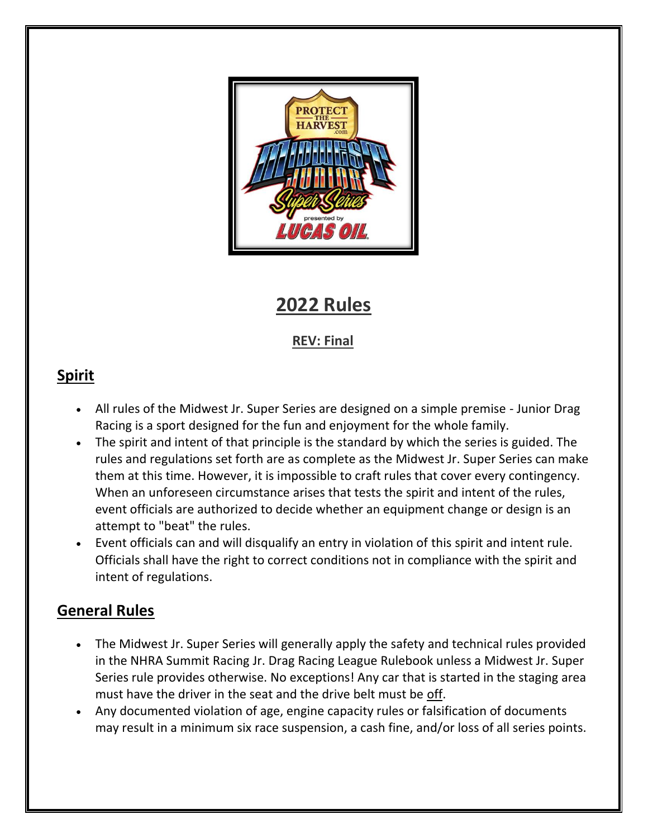

# **2022 Rules**

## **REV: Final**

## **Spirit**

- All rules of the Midwest Jr. Super Series are designed on a simple premise Junior Drag Racing is a sport designed for the fun and enjoyment for the whole family.
- The spirit and intent of that principle is the standard by which the series is guided. The rules and regulations set forth are as complete as the Midwest Jr. Super Series can make them at this time. However, it is impossible to craft rules that cover every contingency. When an unforeseen circumstance arises that tests the spirit and intent of the rules, event officials are authorized to decide whether an equipment change or design is an attempt to "beat" the rules.
- Event officials can and will disqualify an entry in violation of this spirit and intent rule. Officials shall have the right to correct conditions not in compliance with the spirit and intent of regulations.

## **General Rules**

- The Midwest Jr. Super Series will generally apply the safety and technical rules provided in the NHRA Summit Racing Jr. Drag Racing League Rulebook unless a Midwest Jr. Super Series rule provides otherwise. No exceptions! Any car that is started in the staging area must have the driver in the seat and the drive belt must be off.
- Any documented violation of age, engine capacity rules or falsification of documents may result in a minimum six race suspension, a cash fine, and/or loss of all series points.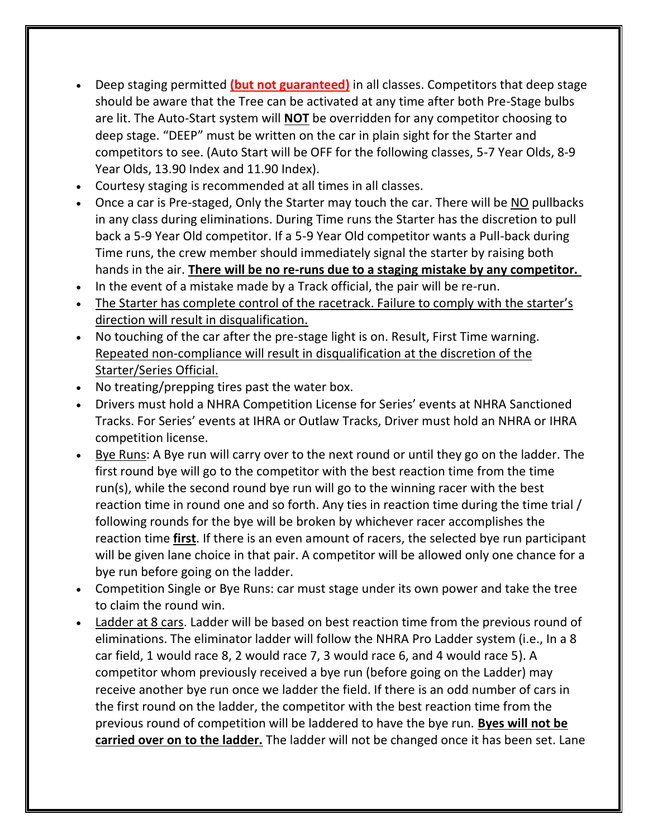- Deep staging permitted **(but not guaranteed)** in all classes. Competitors that deep stage should be aware that the Tree can be activated at any time after both Pre-Stage bulbs are lit. The Auto-Start system will **NOT** be overridden for any competitor choosing to deep stage. "DEEP" must be written on the car in plain sight for the Starter and competitors to see. (Auto Start will be OFF for the following classes, 5-7 Year Olds, 8-9 Year Olds, 13.90 Index and 11.90 Index).
- Courtesy staging is recommended at all times in all classes.
- Once a car is Pre-staged, Only the Starter may touch the car. There will be NO pullbacks in any class during eliminations. During Time runs the Starter has the discretion to pull back a 5-9 Year Old competitor. If a 5-9 Year Old competitor wants a Pull-back during Time runs, the crew member should immediately signal the starter by raising both hands in the air. **There will be no re-runs due to a staging mistake by any competitor.**
- In the event of a mistake made by a Track official, the pair will be re-run.
- The Starter has complete control of the racetrack. Failure to comply with the starter's direction will result in disqualification.
- No touching of the car after the pre-stage light is on. Result, First Time warning. Repeated non-compliance will result in disqualification at the discretion of the Starter/Series Official.
- No treating/prepping tires past the water box.
- Drivers must hold a NHRA Competition License for Series' events at NHRA Sanctioned Tracks. For Series' events at IHRA or Outlaw Tracks, Driver must hold an NHRA or IHRA competition license.
- Bye Runs: A Bye run will carry over to the next round or until they go on the ladder. The first round bye will go to the competitor with the best reaction time from the time run(s), while the second round bye run will go to the winning racer with the best reaction time in round one and so forth. Any ties in reaction time during the time trial / following rounds for the bye will be broken by whichever racer accomplishes the reaction time **first**. If there is an even amount of racers, the selected bye run participant will be given lane choice in that pair. A competitor will be allowed only one chance for a bye run before going on the ladder.
- Competition Single or Bye Runs: car must stage under its own power and take the tree to claim the round win.
- Ladder at 8 cars. Ladder will be based on best reaction time from the previous round of eliminations. The eliminator ladder will follow the NHRA Pro Ladder system (i.e., In a 8 car field, 1 would race 8, 2 would race 7, 3 would race 6, and 4 would race 5). A competitor whom previously received a bye run (before going on the Ladder) may receive another bye run once we ladder the field. If there is an odd number of cars in the first round on the ladder, the competitor with the best reaction time from the previous round of competition will be laddered to have the bye run. **Byes will not be carried over on to the ladder.** The ladder will not be changed once it has been set. Lane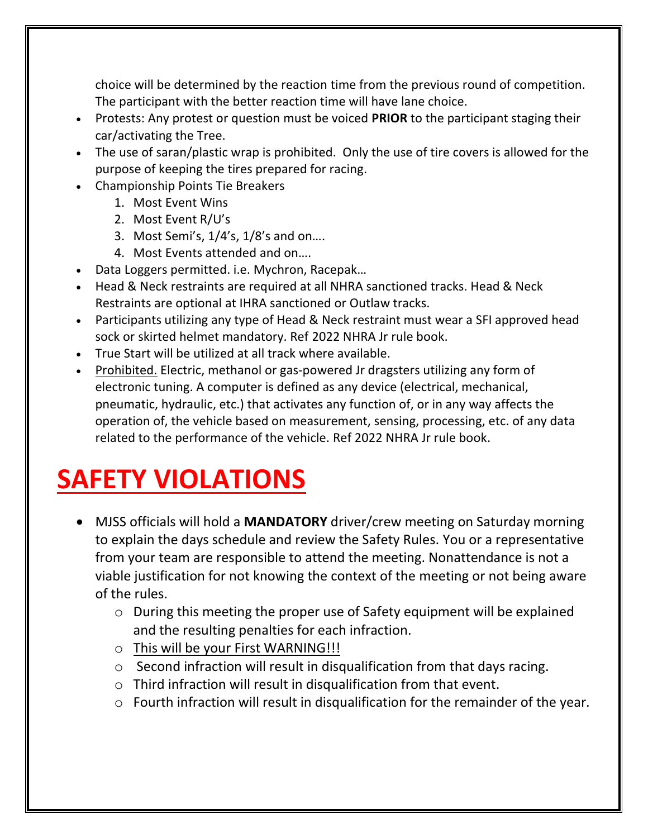choice will be determined by the reaction time from the previous round of competition. The participant with the better reaction time will have lane choice.

- Protests: Any protest or question must be voiced **PRIOR** to the participant staging their car/activating the Tree.
- The use of saran/plastic wrap is prohibited. Only the use of tire covers is allowed for the purpose of keeping the tires prepared for racing.
- Championship Points Tie Breakers
	- 1. Most Event Wins
	- 2. Most Event R/U's
	- 3. Most Semi's, 1/4's, 1/8's and on….
	- 4. Most Events attended and on….
- Data Loggers permitted. i.e. Mychron, Racepak…
- Head & Neck restraints are required at all NHRA sanctioned tracks. Head & Neck Restraints are optional at IHRA sanctioned or Outlaw tracks.
- Participants utilizing any type of Head & Neck restraint must wear a SFI approved head sock or skirted helmet mandatory. Ref 2022 NHRA Jr rule book.
- True Start will be utilized at all track where available.
- Prohibited. Electric, methanol or gas-powered Jr dragsters utilizing any form of electronic tuning. A computer is defined as any device (electrical, mechanical, pneumatic, hydraulic, etc.) that activates any function of, or in any way affects the operation of, the vehicle based on measurement, sensing, processing, etc. of any data related to the performance of the vehicle. Ref 2022 NHRA Jr rule book.

# **SAFETY VIOLATIONS**

- MJSS officials will hold a **MANDATORY** driver/crew meeting on Saturday morning to explain the days schedule and review the Safety Rules. You or a representative from your team are responsible to attend the meeting. Nonattendance is not a viable justification for not knowing the context of the meeting or not being aware of the rules.
	- o During this meeting the proper use of Safety equipment will be explained and the resulting penalties for each infraction.
	- o This will be your First WARNING!!!
	- o Second infraction will result in disqualification from that days racing.
	- o Third infraction will result in disqualification from that event.
	- o Fourth infraction will result in disqualification for the remainder of the year.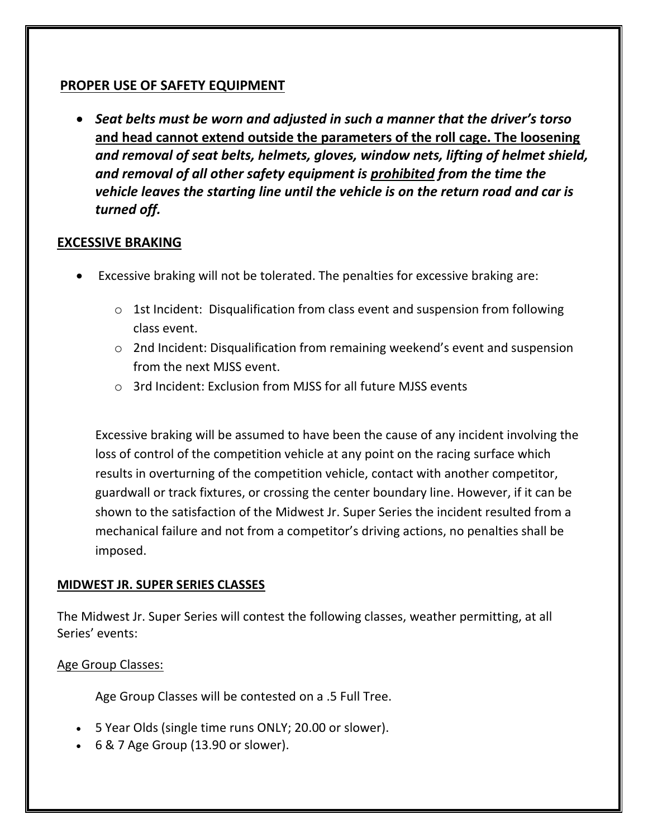#### **PROPER USE OF SAFETY EQUIPMENT**

• *Seat belts must be worn and adjusted in such a manner that the driver's torso*  **and head cannot extend outside the parameters of the roll cage. The loosening** *and removal of seat belts, helmets, gloves, window nets, lifting of helmet shield, and removal of all other safety equipment is prohibited from the time the vehicle leaves the starting line until the vehicle is on the return road and car is turned off.*

#### **EXCESSIVE BRAKING**

- Excessive braking will not be tolerated. The penalties for excessive braking are:
	- $\circ$  1st Incident: Disqualification from class event and suspension from following class event.
	- o 2nd Incident: Disqualification from remaining weekend's event and suspension from the next MJSS event.
	- o 3rd Incident: Exclusion from MJSS for all future MJSS events

Excessive braking will be assumed to have been the cause of any incident involving the loss of control of the competition vehicle at any point on the racing surface which results in overturning of the competition vehicle, contact with another competitor, guardwall or track fixtures, or crossing the center boundary line. However, if it can be shown to the satisfaction of the Midwest Jr. Super Series the incident resulted from a mechanical failure and not from a competitor's driving actions, no penalties shall be imposed.

#### **MIDWEST JR. SUPER SERIES CLASSES**

The Midwest Jr. Super Series will contest the following classes, weather permitting, at all Series' events:

#### Age Group Classes:

Age Group Classes will be contested on a .5 Full Tree.

- 5 Year Olds (single time runs ONLY; 20.00 or slower).
- 6 & 7 Age Group (13.90 or slower).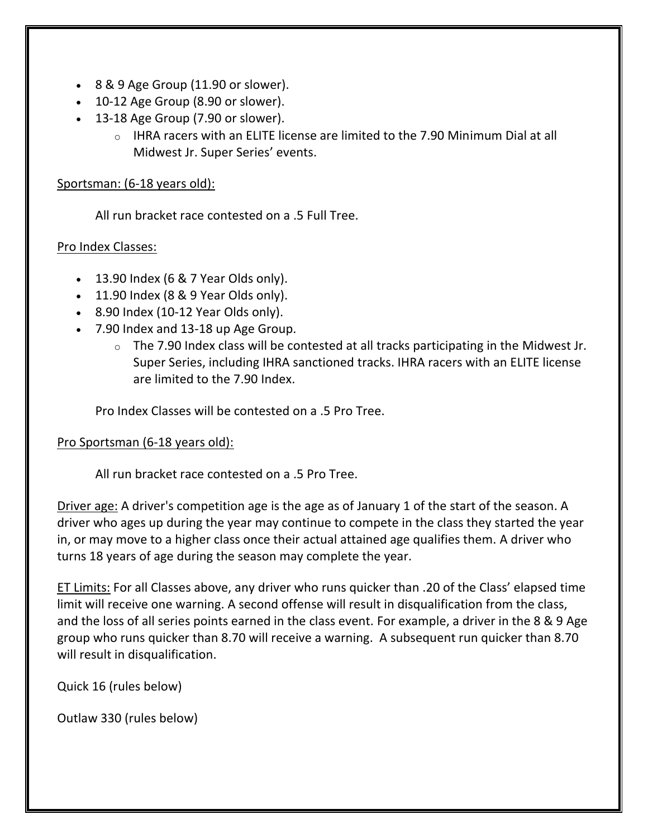- 8 & 9 Age Group (11.90 or slower).
- 10-12 Age Group (8.90 or slower).
- 13-18 Age Group (7.90 or slower).
	- $\circ$  IHRA racers with an ELITE license are limited to the 7.90 Minimum Dial at all Midwest Jr. Super Series' events.

#### Sportsman: (6-18 years old):

All run bracket race contested on a .5 Full Tree.

#### Pro Index Classes:

- $\bullet$  13.90 Index (6 & 7 Year Olds only).
- $\bullet$  11.90 Index (8 & 9 Year Olds only).
- 8.90 Index (10-12 Year Olds only).
- 7.90 Index and 13-18 up Age Group.
	- $\circ$  The 7.90 Index class will be contested at all tracks participating in the Midwest Jr. Super Series, including IHRA sanctioned tracks. IHRA racers with an ELITE license are limited to the 7.90 Index.

Pro Index Classes will be contested on a .5 Pro Tree.

#### Pro Sportsman (6-18 years old):

All run bracket race contested on a .5 Pro Tree.

Driver age: A driver's competition age is the age as of January 1 of the start of the season. A driver who ages up during the year may continue to compete in the class they started the year in, or may move to a higher class once their actual attained age qualifies them. A driver who turns 18 years of age during the season may complete the year.

ET Limits: For all Classes above, any driver who runs quicker than .20 of the Class' elapsed time limit will receive one warning. A second offense will result in disqualification from the class, and the loss of all series points earned in the class event. For example, a driver in the 8 & 9 Age group who runs quicker than 8.70 will receive a warning. A subsequent run quicker than 8.70 will result in disqualification.

Quick 16 (rules below)

Outlaw 330 (rules below)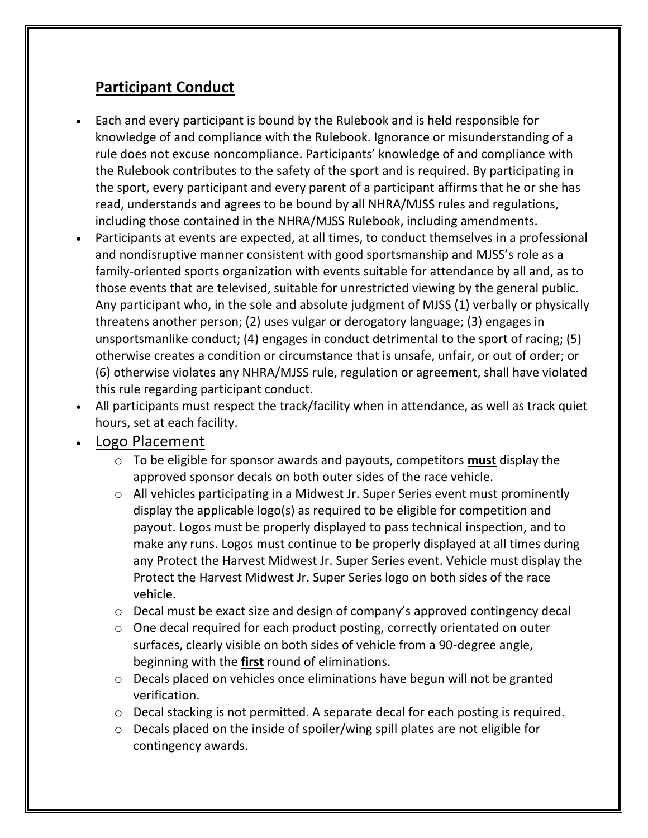## **Participant Conduct**

- Each and every participant is bound by the Rulebook and is held responsible for knowledge of and compliance with the Rulebook. Ignorance or misunderstanding of a rule does not excuse noncompliance. Participants' knowledge of and compliance with the Rulebook contributes to the safety of the sport and is required. By participating in the sport, every participant and every parent of a participant affirms that he or she has read, understands and agrees to be bound by all NHRA/MJSS rules and regulations, including those contained in the NHRA/MJSS Rulebook, including amendments.
- Participants at events are expected, at all times, to conduct themselves in a professional and nondisruptive manner consistent with good sportsmanship and MJSS's role as a family-oriented sports organization with events suitable for attendance by all and, as to those events that are televised, suitable for unrestricted viewing by the general public. Any participant who, in the sole and absolute judgment of MJSS (1) verbally or physically threatens another person; (2) uses vulgar or derogatory language; (3) engages in unsportsmanlike conduct; (4) engages in conduct detrimental to the sport of racing; (5) otherwise creates a condition or circumstance that is unsafe, unfair, or out of order; or (6) otherwise violates any NHRA/MJSS rule, regulation or agreement, shall have violated this rule regarding participant conduct.
- All participants must respect the track/facility when in attendance, as well as track quiet hours, set at each facility.

## • Logo Placement

- o To be eligible for sponsor awards and payouts, competitors **must** display the approved sponsor decals on both outer sides of the race vehicle.
- o All vehicles participating in a Midwest Jr. Super Series event must prominently display the applicable logo(s) as required to be eligible for competition and payout. Logos must be properly displayed to pass technical inspection, and to make any runs. Logos must continue to be properly displayed at all times during any Protect the Harvest Midwest Jr. Super Series event. Vehicle must display the Protect the Harvest Midwest Jr. Super Series logo on both sides of the race vehicle.
- $\circ$  Decal must be exact size and design of company's approved contingency decal
- o One decal required for each product posting, correctly orientated on outer surfaces, clearly visible on both sides of vehicle from a 90-degree angle, beginning with the **first** round of eliminations.
- o Decals placed on vehicles once eliminations have begun will not be granted verification.
- o Decal stacking is not permitted. A separate decal for each posting is required.
- o Decals placed on the inside of spoiler/wing spill plates are not eligible for contingency awards.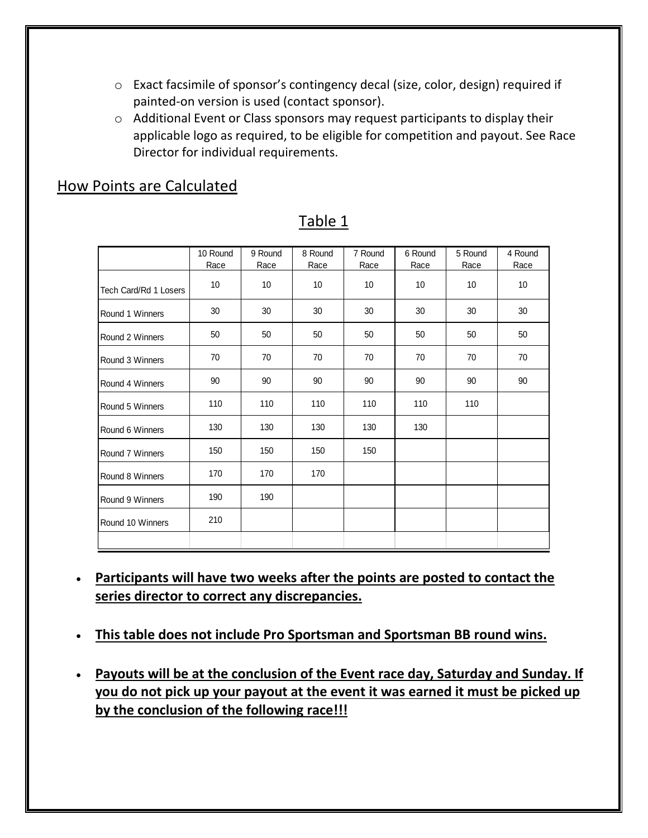- o Exact facsimile of sponsor's contingency decal (size, color, design) required if painted-on version is used (contact sponsor).
- o Additional Event or Class sponsors may request participants to display their applicable logo as required, to be eligible for competition and payout. See Race Director for individual requirements.

## How Points are Calculated

|                       | 10 Round<br>Race | 9 Round<br>Race | 8 Round<br>Race | 7 Round<br>Race | 6 Round<br>Race | 5 Round<br>Race | 4 Round<br>Race |
|-----------------------|------------------|-----------------|-----------------|-----------------|-----------------|-----------------|-----------------|
| Tech Card/Rd 1 Losers | 10               | 10              | 10              | 10              | 10              | 10              | 10              |
| Round 1 Winners       | 30               | 30              | 30              | 30              | 30              | 30              | 30              |
| Round 2 Winners       | 50               | 50              | 50              | 50              | 50              | 50              | 50              |
| Round 3 Winners       | 70               | 70              | 70              | 70              | 70              | 70              | 70              |
| Round 4 Winners       | 90               | 90              | 90              | 90              | 90              | 90              | 90              |
| Round 5 Winners       | 110              | 110             | 110             | 110             | 110             | 110             |                 |
| Round 6 Winners       | 130              | 130             | 130             | 130             | 130             |                 |                 |
| Round 7 Winners       | 150              | 150             | 150             | 150             |                 |                 |                 |
| Round 8 Winners       | 170              | 170             | 170             |                 |                 |                 |                 |
| Round 9 Winners       | 190              | 190             |                 |                 |                 |                 |                 |
| Round 10 Winners      | 210              |                 |                 |                 |                 |                 |                 |
|                       |                  |                 |                 |                 |                 |                 |                 |

#### Table 1

- **Participants will have two weeks after the points are posted to contact the series director to correct any discrepancies.**
- **This table does not include Pro Sportsman and Sportsman BB round wins.**
- **Payouts will be at the conclusion of the Event race day, Saturday and Sunday. If you do not pick up your payout at the event it was earned it must be picked up by the conclusion of the following race!!!**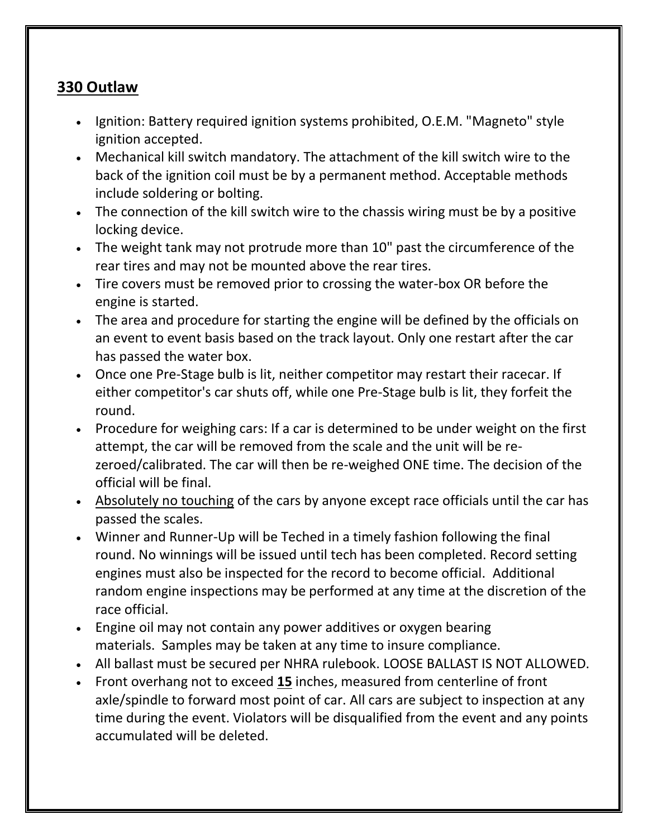## **330 Outlaw**

- Ignition: Battery required ignition systems prohibited, O.E.M. "Magneto" style ignition accepted.
- Mechanical kill switch mandatory. The attachment of the kill switch wire to the back of the ignition coil must be by a permanent method. Acceptable methods include soldering or bolting.
- The connection of the kill switch wire to the chassis wiring must be by a positive locking device.
- The weight tank may not protrude more than 10" past the circumference of the rear tires and may not be mounted above the rear tires.
- Tire covers must be removed prior to crossing the water-box OR before the engine is started.
- The area and procedure for starting the engine will be defined by the officials on an event to event basis based on the track layout. Only one restart after the car has passed the water box.
- Once one Pre-Stage bulb is lit, neither competitor may restart their racecar. If either competitor's car shuts off, while one Pre-Stage bulb is lit, they forfeit the round.
- Procedure for weighing cars: If a car is determined to be under weight on the first attempt, the car will be removed from the scale and the unit will be rezeroed/calibrated. The car will then be re-weighed ONE time. The decision of the official will be final.
- Absolutely no touching of the cars by anyone except race officials until the car has passed the scales.
- Winner and Runner-Up will be Teched in a timely fashion following the final round. No winnings will be issued until tech has been completed. Record setting engines must also be inspected for the record to become official. Additional random engine inspections may be performed at any time at the discretion of the race official.
- Engine oil may not contain any power additives or oxygen bearing materials. Samples may be taken at any time to insure compliance.
- All ballast must be secured per NHRA rulebook. LOOSE BALLAST IS NOT ALLOWED.
- Front overhang not to exceed **15** inches, measured from centerline of front axle/spindle to forward most point of car. All cars are subject to inspection at any time during the event. Violators will be disqualified from the event and any points accumulated will be deleted.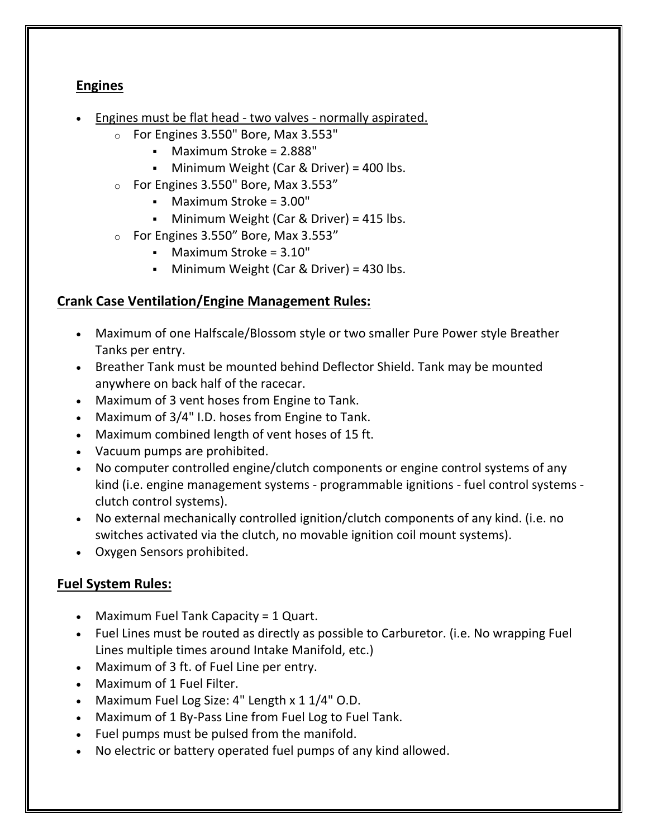## **Engines**

- Engines must be flat head two valves normally aspirated.
	- o For Engines 3.550" Bore, Max 3.553"
		- Maximum Stroke = 2.888"
		- Minimum Weight (Car & Driver) = 400 lbs.
	- $\circ$  For Engines 3.550" Bore, Max 3.553"
		- Maximum Stroke = 3.00"
		- Minimum Weight (Car & Driver) = 415 lbs.
	- $\circ$  For Engines 3.550" Bore, Max 3.553"
		- $\blacksquare$  Maximum Stroke = 3.10"
		- Minimum Weight (Car & Driver) = 430 lbs.

#### **Crank Case Ventilation/Engine Management Rules:**

- Maximum of one Halfscale/Blossom style or two smaller Pure Power style Breather Tanks per entry.
- Breather Tank must be mounted behind Deflector Shield. Tank may be mounted anywhere on back half of the racecar.
- Maximum of 3 vent hoses from Engine to Tank.
- Maximum of 3/4" I.D. hoses from Engine to Tank.
- Maximum combined length of vent hoses of 15 ft.
- Vacuum pumps are prohibited.
- No computer controlled engine/clutch components or engine control systems of any kind (i.e. engine management systems - programmable ignitions - fuel control systems clutch control systems).
- No external mechanically controlled ignition/clutch components of any kind. (i.e. no switches activated via the clutch, no movable ignition coil mount systems).
- Oxygen Sensors prohibited.

#### **Fuel System Rules:**

- Maximum Fuel Tank Capacity = 1 Quart.
- Fuel Lines must be routed as directly as possible to Carburetor. (i.e. No wrapping Fuel Lines multiple times around Intake Manifold, etc.)
- Maximum of 3 ft. of Fuel Line per entry.
- Maximum of 1 Fuel Filter.
- Maximum Fuel Log Size: 4" Length x 1 1/4" O.D.
- Maximum of 1 By-Pass Line from Fuel Log to Fuel Tank.
- Fuel pumps must be pulsed from the manifold.
- No electric or battery operated fuel pumps of any kind allowed.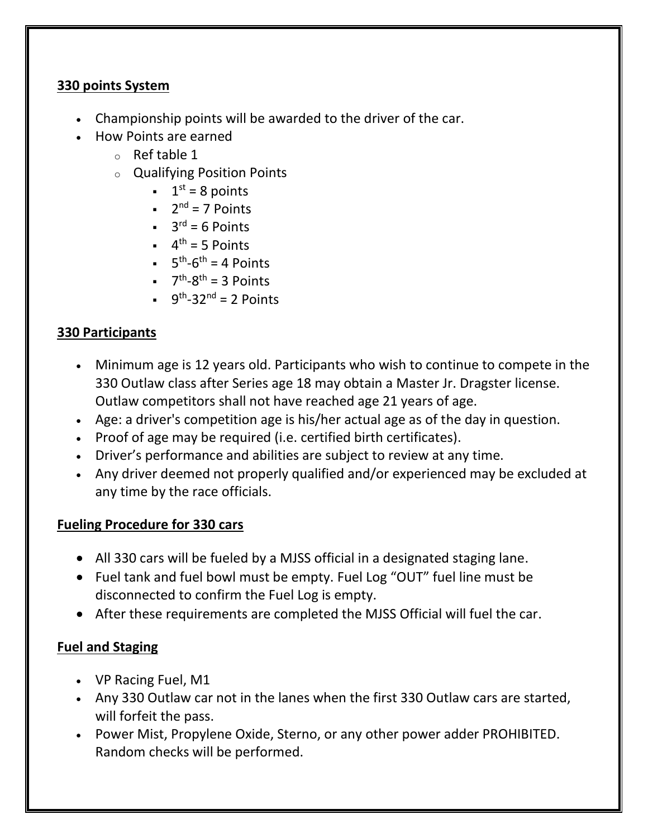## **330 points System**

- Championship points will be awarded to the driver of the car.
- How Points are earned
	- o Ref table 1
	- o Qualifying Position Points
		- $\bullet$  1<sup>st</sup> = 8 points
		- $\blacksquare$  2<sup>nd</sup> = 7 Points
		- $\bullet$  3<sup>rd</sup> = 6 Points
		- $\bullet$  4<sup>th</sup> = 5 Points
		- $\bullet$  5<sup>th</sup>-6<sup>th</sup> = 4 Points
		- $\bullet$   $7^{\text{th}}$ -8<sup>th</sup> = 3 Points
		- $\bullet$  9<sup>th</sup>-32<sup>nd</sup> = 2 Points

## **330 Participants**

- Minimum age is 12 years old. Participants who wish to continue to compete in the 330 Outlaw class after Series age 18 may obtain a Master Jr. Dragster license. Outlaw competitors shall not have reached age 21 years of age.
- Age: a driver's competition age is his/her actual age as of the day in question.
- Proof of age may be required (i.e. certified birth certificates).
- Driver's performance and abilities are subject to review at any time.
- Any driver deemed not properly qualified and/or experienced may be excluded at any time by the race officials.

#### **Fueling Procedure for 330 cars**

- All 330 cars will be fueled by a MJSS official in a designated staging lane.
- Fuel tank and fuel bowl must be empty. Fuel Log "OUT" fuel line must be disconnected to confirm the Fuel Log is empty.
- After these requirements are completed the MJSS Official will fuel the car.

#### **Fuel and Staging**

- VP Racing Fuel, M1
- Any 330 Outlaw car not in the lanes when the first 330 Outlaw cars are started, will forfeit the pass.
- Power Mist, Propylene Oxide, Sterno, or any other power adder PROHIBITED. Random checks will be performed.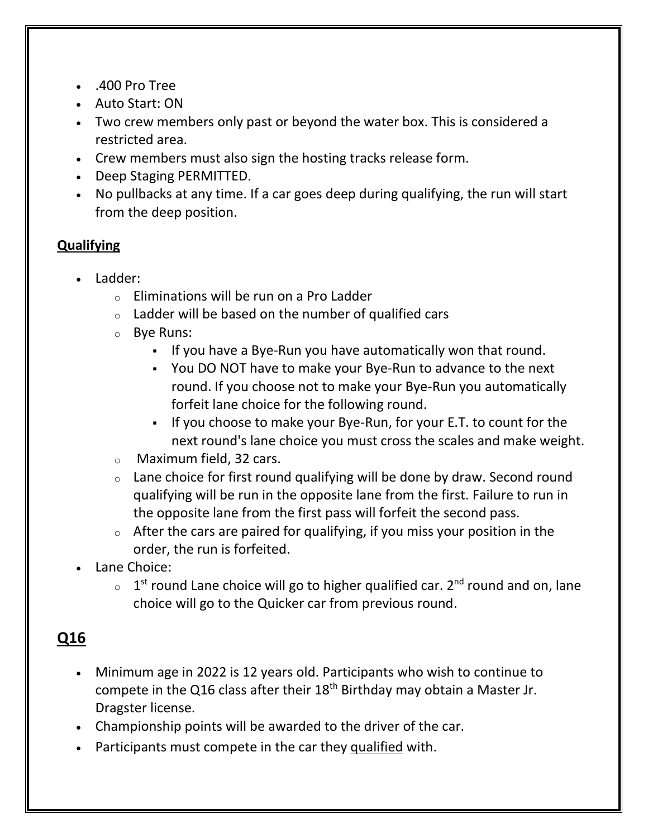- .400 Pro Tree
- Auto Start: ON
- Two crew members only past or beyond the water box. This is considered a restricted area.
- Crew members must also sign the hosting tracks release form.
- Deep Staging PERMITTED.
- No pullbacks at any time. If a car goes deep during qualifying, the run will start from the deep position.

## **Qualifying**

- Ladder:
	- $\circ$  Eliminations will be run on a Pro Ladder
	- $\circ$  Ladder will be based on the number of qualified cars
	- o Bye Runs:
		- If you have a Bye-Run you have automatically won that round.
		- You DO NOT have to make your Bye-Run to advance to the next round. If you choose not to make your Bye-Run you automatically forfeit lane choice for the following round.
		- If you choose to make your Bye-Run, for your E.T. to count for the next round's lane choice you must cross the scales and make weight.
	- o Maximum field, 32 cars.
	- $\circ$  Lane choice for first round qualifying will be done by draw. Second round qualifying will be run in the opposite lane from the first. Failure to run in the opposite lane from the first pass will forfeit the second pass.
	- $\circ$  After the cars are paired for qualifying, if you miss your position in the order, the run is forfeited.
- Lane Choice:
	- $\circ$  1<sup>st</sup> round Lane choice will go to higher qualified car. 2<sup>nd</sup> round and on, lane choice will go to the Quicker car from previous round.

# **Q16**

- Minimum age in 2022 is 12 years old. Participants who wish to continue to compete in the Q16 class after their  $18<sup>th</sup>$  Birthday may obtain a Master Jr. Dragster license.
- Championship points will be awarded to the driver of the car.
- Participants must compete in the car they qualified with.